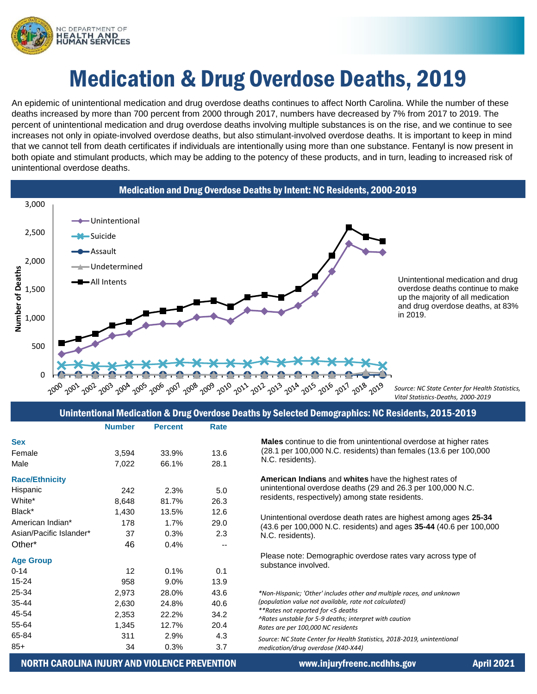

# Medication & Drug Overdose Deaths, 2019

An epidemic of unintentional medication and drug overdose deaths continues to affect North Carolina. While the number of these deaths increased by more than 700 percent from 2000 through 2017, numbers have decreased by 7% from 2017 to 2019. The percent of unintentional medication and drug overdose deaths involving multiple substances is on the rise, and we continue to see increases not only in opiate-involved overdose deaths, but also stimulant-involved overdose deaths. It is important to keep in mind that we cannot tell from death certificates if individuals are intentionally using more than one substance. Fentanyl is now present in both opiate and stimulant products, which may be adding to the potency of these products, and in turn, leading to increased risk of unintentional overdose deaths.



### Unintentional Medication & Drug Overdose Deaths by Selected Demographics: NC Residents, 2015-2019

|                         | <b>Number</b> | <b>Percent</b> | Rate |                                                                                                                                                           |
|-------------------------|---------------|----------------|------|-----------------------------------------------------------------------------------------------------------------------------------------------------------|
| <b>Sex</b>              |               |                |      | Males continue to die from unintentional overdose at higher rates                                                                                         |
| Female                  | 3,594         | 33.9%          | 13.6 | (28.1 per 100,000 N.C. residents) than females (13.6 per 100,000<br>N.C. residents).                                                                      |
| Male                    | 7,022         | 66.1%          | 28.1 |                                                                                                                                                           |
| <b>Race/Ethnicity</b>   |               |                |      | American Indians and whites have the highest rates of                                                                                                     |
| Hispanic                | 242           | 2.3%           | 5.0  | unintentional overdose deaths (29 and 26.3 per 100,000 N.C.<br>residents, respectively) among state residents.                                            |
| White*                  | 8,648         | 81.7%          | 26.3 |                                                                                                                                                           |
| Black*                  | 1,430         | 13.5%          | 12.6 | Unintentional overdose death rates are highest among ages 25-34<br>(43.6 per 100,000 N.C. residents) and ages 35-44 (40.6 per 100,000<br>N.C. residents). |
| American Indian*        | 178           | 1.7%           | 29.0 |                                                                                                                                                           |
| Asian/Pacific Islander* | 37            | 0.3%           | 2.3  |                                                                                                                                                           |
| Other*                  | 46            | 0.4%           |      |                                                                                                                                                           |
| <b>Age Group</b>        |               |                |      | Please note: Demographic overdose rates vary across type of                                                                                               |
| $0 - 14$                | 12            | 0.1%           | 0.1  | substance involved.                                                                                                                                       |
| $15 - 24$               | 958           | $9.0\%$        | 13.9 |                                                                                                                                                           |
| 25-34                   | 2,973         | 28.0%          | 43.6 | *Non-Hispanic; 'Other' includes other and multiple races, and unknown                                                                                     |
| 35-44                   | 2,630         | 24.8%          | 40.6 | (population value not available, rate not calculated)                                                                                                     |
| 45-54                   | 2,353         | 22.2%          | 34.2 | **Rates not reported for <5 deaths<br>^Rates unstable for 5-9 deaths; interpret with caution<br>Rates are per 100,000 NC residents                        |
| 55-64                   | 1,345         | 12.7%          | 20.4 |                                                                                                                                                           |
| 65-84                   | 311           | 2.9%           | 4.3  | Source: NC State Center for Health Statistics, 2018-2019, unintentional                                                                                   |
| $85+$                   | 34            | 0.3%           | 3.7  | medication/drug overdose (X40-X44)                                                                                                                        |

## NORTH CAROLINA INJURY AND VIOLENCE PREVENTION www.injuryfreenc.ncdhhs.gov April 2021